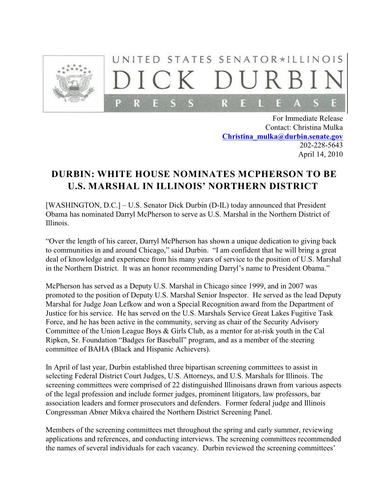

## UNITED STATES SENATOR\*ILLINOIS  $C K$ P R R

For Immediate Release Contact: Christina Mulka **[Christina\\_mulka@durbin.senate.gov](mailto:Christina_mulka@durbin.senate.gov)** 202-228-5643 April 14, 2010

## **DURBIN: WHITE HOUSE NOMINATES MCPHERSON TO BE U.S. MARSHAL IN ILLINOIS' NORTHERN DISTRICT**

[WASHINGTON, D.C.] – U.S. Senator Dick Durbin (D-IL) today announced that President Obama has nominated Darryl McPherson to serve as U.S. Marshal in the Northern District of Illinois.

"Over the length of his career, Darryl McPherson has shown a unique dedication to giving back to communities in and around Chicago," said Durbin. "I am confident that he will bring a great deal of knowledge and experience from his many years of service to the position of U.S. Marshal in the Northern District. It was an honor recommending Darryl's name to President Obama."

McPherson has served as a Deputy U.S. Marshal in Chicago since 1999, and in 2007 was promoted to the position of Deputy U.S. Marshal Senior Inspector. He served as the lead Deputy Marshal for Judge Joan Lefkow and won a Special Recognition award from the Department of Justice for his service. He has served on the U.S. Marshals Service Great Lakes Fugitive Task Force, and he has been active in the community, serving as chair of the Security Advisory Committee of the Union League Boys & Girls Club, as a mentor for at-risk youth in the Cal Ripken, Sr. Foundation "Badges for Baseball" program, and as a member of the steering committee of BAHA (Black and Hispanic Achievers).

In April of last year, Durbin established three bipartisan screening committees to assist in selecting Federal District Court Judges, U.S. Attorneys, and U.S. Marshals for Illinois. The screening committees were comprised of 22 distinguished Illinoisans drawn from various aspects of the legal profession and include former judges, prominent litigators, law professors, bar association leaders and former prosecutors and defenders. Former federal judge and Illinois Congressman Abner Mikva chaired the Northern District Screening Panel.

Members of the screening committees met throughout the spring and early summer, reviewing applications and references, and conducting interviews. The screening committees recommended the names of several individuals for each vacancy. Durbin reviewed the screening committees'